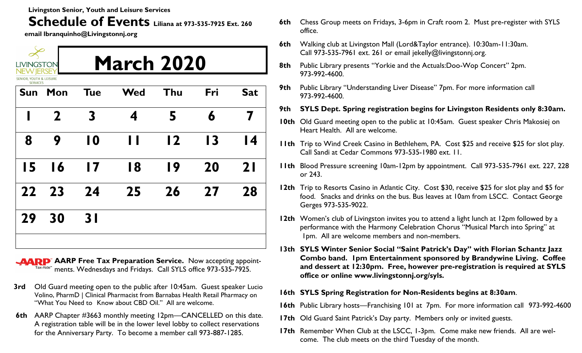**Livingston Senior, Youth and Leisure Services** 

## **Schedule of Events Liliana at 973-535-7925 Ext. 260**

**email lbranquinho@Livingstonnj.org**

| <b>LIVINGSTON</b><br><b>NEW JERSE</b><br>SENIOR, YOUTH & LEISURE |                 | <b>March 2020</b> |                |                |     |                 |  |  |
|------------------------------------------------------------------|-----------------|-------------------|----------------|----------------|-----|-----------------|--|--|
| <b>SERVICES</b><br>Sun                                           | Mon             | <b>Tue</b>        | <b>Wed</b>     | Thu            | Fri | <b>Sat</b>      |  |  |
| I                                                                | $\mathbf{2}$    | 3                 | 4              | 5              | 6   |                 |  |  |
| 8                                                                | 9               | 10                | $\blacksquare$ | $\overline{2}$ | 13  | $\overline{14}$ |  |  |
| 15                                                               | $\overline{16}$ | $\blacksquare$    | 18             | 19             | 20  | 2 <sub>1</sub>  |  |  |
| 22                                                               | 23              | 24                | 25             | 26             | 27  | 28              |  |  |
| 29                                                               | 30              | 3 <sub>l</sub>    |                |                |     |                 |  |  |
|                                                                  |                 |                   |                |                |     |                 |  |  |

**AARP** AARP Free Tax Preparation Service. Now accepting appoint- $Tax-Aide^*$  ments. Wednesdays and Fridays. Call SYLS office 973-535-7925.

- **3rd** Old Guard meeting open to the public after 10:45am. Guest speaker Lucio Volino, PharmD | Clinical Pharmacist from Barnabas Health Retail Pharmacy on "What You Need to Know about CBD Oil." All are welcome.
- **6th** AARP Chapter #3663 monthly meeting 12pm—CANCELLED on this date. A registration table will be in the lower level lobby to collect reservations for the Anniversary Party. To become a member call 973-887-1285.
- **6th** Chess Group meets on Fridays, 3-6pm in Craft room 2. Must pre-register with SYLS office.
- **6th** Walking club at Livingston Mall (Lord&Taylor entrance). 10:30am-11:30am. Call 973-535-7961 ext. 261 or email jekelly@livingstonnj.org.
- **8th** Public Library presents "Yorkie and the Actuals:Doo-Wop Concert" 2pm. 973-992-4600.
- **9th** Public Library "Understanding Liver Disease" 7pm. For more information call 973-992-4600.
- **9th SYLS Dept. Spring registration begins for Livingston Residents only 8:30am.**
- **10th** Old Guard meeting open to the public at 10:45am. Guest speaker Chris Makosiej on Heart Health. All are welcome.
- **11th** Trip to Wind Creek Casino in Bethlehem, PA. Cost \$25 and receive \$25 for slot play. Call Sandi at Cedar Commons 973-535-1980 ext. 11.
- **11th** Blood Pressure screening 10am-12pm by appointment. Call 973-535-7961 ext. 227, 228 or 243.
- **12th** Trip to Resorts Casino in Atlantic City. Cost \$30, receive \$25 for slot play and \$5 for food. Snacks and drinks on the bus. Bus leaves at 10am from LSCC. Contact George Gerges 973-535-9022.
- **12th** Women's club of Livingston invites you to attend a light lunch at 12pm followed by a performance with the Harmony Celebration Chorus "Musical March into Spring" at 1pm. All are welcome members and non-members.
- **13th SYLS Winter Senior Social "Saint Patrick's Day" with Florian Schantz Jazz Combo band. 1pm Entertainment sponsored by Brandywine Living. Coffee and dessert at 12:30pm. Free, however pre-registration is required at SYLS office or online www.livingstonnj.org/syls.**
- **16th SYLS Spring Registration for Non-Residents begins at 8:30am**.
- **16th** Public Library hosts—Franchising 101 at 7pm. For more information call 973-992-4600
- **17th** Old Guard Saint Patrick's Day party. Members only or invited guests.
- **17th** Remember When Club at the LSCC, 1-3pm. Come make new friends. All are welcome. The club meets on the third Tuesday of the month.